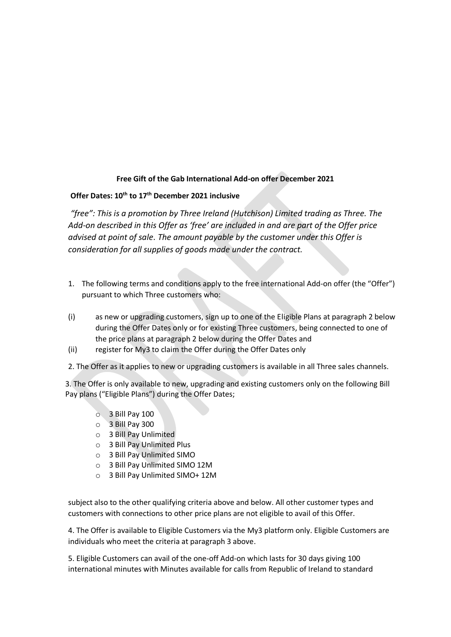## **Free Gift of the Gab International Add-on offer December 2021**

## **Offer Dates: 10th to 17th December 2021 inclusive**

*"free": This is a promotion by Three Ireland (Hutchison) Limited trading as Three. The Add-on described in this Offer as 'free' are included in and are part of the Offer price advised at point of sale. The amount payable by the customer under this Offer is consideration for all supplies of goods made under the contract.*

- 1. The following terms and conditions apply to the free international Add-on offer (the "Offer") pursuant to which Three customers who:
- (i) as new or upgrading customers, sign up to one of the Eligible Plans at paragraph 2 below during the Offer Dates only or for existing Three customers, being connected to one of the price plans at paragraph 2 below during the Offer Dates and
- (ii) register for My3 to claim the Offer during the Offer Dates only

2. The Offer as it applies to new or upgrading customers is available in all Three sales channels.

3. The Offer is only available to new, upgrading and existing customers only on the following Bill Pay plans ("Eligible Plans") during the Offer Dates;

- $\circ$  3 Bill Pay 100
- o 3 Bill Pay 300
- o 3 Bill Pay Unlimited
- o 3 Bill Pay Unlimited Plus
- o 3 Bill Pay Unlimited SIMO
- o 3 Bill Pay Unlimited SIMO 12M
- o 3 Bill Pay Unlimited SIMO+ 12M

subject also to the other qualifying criteria above and below. All other customer types and customers with connections to other price plans are not eligible to avail of this Offer.

4. The Offer is available to Eligible Customers via the My3 platform only. Eligible Customers are individuals who meet the criteria at paragraph 3 above.

5. Eligible Customers can avail of the one-off Add-on which lasts for 30 days giving 100 international minutes with Minutes available for calls from Republic of Ireland to standard